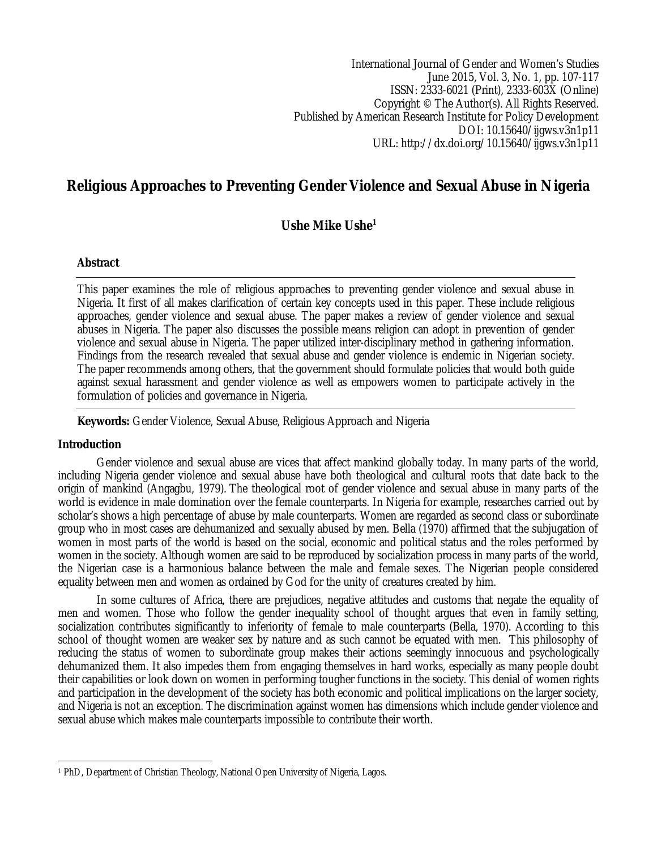International Journal of Gender and Women's Studies June 2015, Vol. 3, No. 1, pp. 107-117 ISSN: 2333-6021 (Print), 2333-603X (Online) Copyright © The Author(s). All Rights Reserved. Published by American Research Institute for Policy Development DOI: 10.15640/ijgws.v3n1p11 URL: http://dx.doi.org/10.15640/ijgws.v3n1p11

# **Religious Approaches to Preventing Gender Violence and Sexual Abuse in Nigeria**

**Ushe Mike Ushe<sup>1</sup>**

# **Abstract**

This paper examines the role of religious approaches to preventing gender violence and sexual abuse in Nigeria. It first of all makes clarification of certain key concepts used in this paper. These include religious approaches, gender violence and sexual abuse. The paper makes a review of gender violence and sexual abuses in Nigeria. The paper also discusses the possible means religion can adopt in prevention of gender violence and sexual abuse in Nigeria. The paper utilized inter-disciplinary method in gathering information. Findings from the research revealed that sexual abuse and gender violence is endemic in Nigerian society. The paper recommends among others, that the government should formulate policies that would both guide against sexual harassment and gender violence as well as empowers women to participate actively in the formulation of policies and governance in Nigeria.

**Keywords:** Gender Violence, Sexual Abuse, Religious Approach and Nigeria

# **Introduction**

Gender violence and sexual abuse are vices that affect mankind globally today. In many parts of the world, including Nigeria gender violence and sexual abuse have both theological and cultural roots that date back to the origin of mankind (Angagbu, 1979). The theological root of gender violence and sexual abuse in many parts of the world is evidence in male domination over the female counterparts. In Nigeria for example, researches carried out by scholar's shows a high percentage of abuse by male counterparts. Women are regarded as second class or subordinate group who in most cases are dehumanized and sexually abused by men. Bella (1970) affirmed that the subjugation of women in most parts of the world is based on the social, economic and political status and the roles performed by women in the society. Although women are said to be reproduced by socialization process in many parts of the world, the Nigerian case is a harmonious balance between the male and female sexes. The Nigerian people considered equality between men and women as ordained by God for the unity of creatures created by him.

In some cultures of Africa, there are prejudices, negative attitudes and customs that negate the equality of men and women. Those who follow the gender inequality school of thought argues that even in family setting, socialization contributes significantly to inferiority of female to male counterparts (Bella, 1970). According to this school of thought women are weaker sex by nature and as such cannot be equated with men. This philosophy of reducing the status of women to subordinate group makes their actions seemingly innocuous and psychologically dehumanized them. It also impedes them from engaging themselves in hard works, especially as many people doubt their capabilities or look down on women in performing tougher functions in the society. This denial of women rights and participation in the development of the society has both economic and political implications on the larger society, and Nigeria is not an exception. The discrimination against women has dimensions which include gender violence and sexual abuse which makes male counterparts impossible to contribute their worth.

 $\overline{a}$ <sup>1</sup> PhD, Department of Christian Theology, National Open University of Nigeria, Lagos.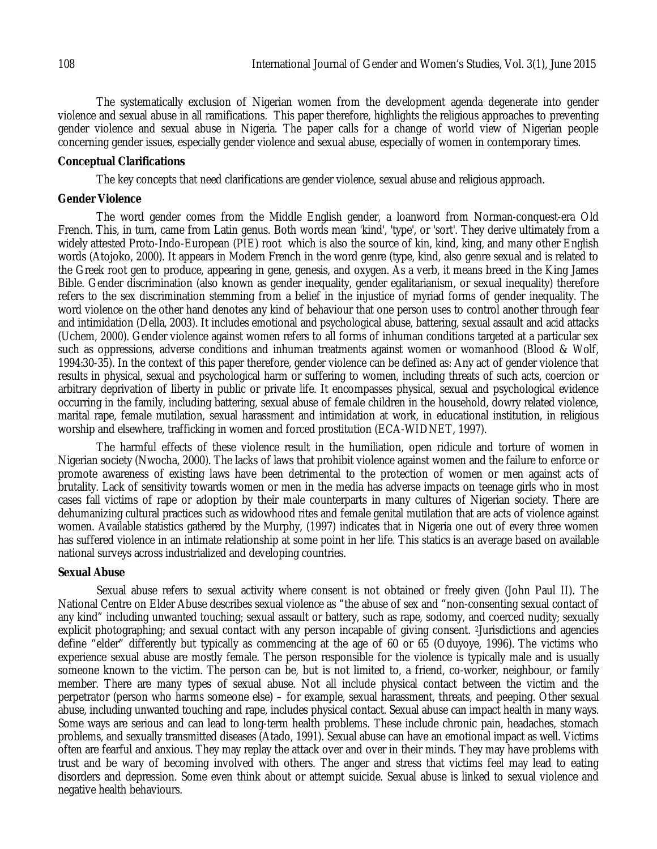The systematically exclusion of Nigerian women from the development agenda degenerate into gender violence and sexual abuse in all ramifications. This paper therefore, highlights the religious approaches to preventing gender violence and sexual abuse in Nigeria. The paper calls for a change of world view of Nigerian people concerning gender issues, especially gender violence and sexual abuse, especially of women in contemporary times.

#### **Conceptual Clarifications**

The key concepts that need clarifications are gender violence, sexual abuse and religious approach.

#### **Gender Violence**

The word gender comes from the Middle English gender, a loanword from Norman-conquest-era Old French. This, in turn, came from Latin genus. Both words mean 'kind', 'type', or 'sort'. They derive ultimately from a widely attested Proto-Indo-European (PIE) root which is also the source of kin, kind, king, and many other English words (Atojoko, 2000). It appears in Modern French in the word genre (type, kind, also genre sexual and is related to the Greek root gen to produce, appearing in gene, genesis, and oxygen. As a verb, it means breed in the King James Bible. Gender discrimination (also known as gender inequality, gender egalitarianism, or sexual inequality) therefore refers to the sex discrimination stemming from a belief in the injustice of myriad forms of gender inequality. The word violence on the other hand denotes any kind of behaviour that one person uses to control another through fear and intimidation (Della, 2003). It includes emotional and psychological abuse, battering, sexual assault and acid attacks (Uchem, 2000). Gender violence against women refers to all forms of inhuman conditions targeted at a particular sex such as oppressions, adverse conditions and inhuman treatments against women or womanhood (Blood & Wolf, 1994:30-35). In the context of this paper therefore, gender violence can be defined as: Any act of gender violence that results in physical, sexual and psychological harm or suffering to women, including threats of such acts, coercion or arbitrary deprivation of liberty in public or private life. It encompasses physical, sexual and psychological evidence occurring in the family, including battering, sexual abuse of female children in the household, dowry related violence, marital rape, female mutilation, sexual harassment and intimidation at work, in educational institution, in religious worship and elsewhere, trafficking in women and forced prostitution (ECA-WIDNET, 1997).

The harmful effects of these violence result in the humiliation, open ridicule and torture of women in Nigerian society (Nwocha, 2000). The lacks of laws that prohibit violence against women and the failure to enforce or promote awareness of existing laws have been detrimental to the protection of women or men against acts of brutality. Lack of sensitivity towards women or men in the media has adverse impacts on teenage girls who in most cases fall victims of rape or adoption by their male counterparts in many cultures of Nigerian society. There are dehumanizing cultural practices such as widowhood rites and female genital mutilation that are acts of violence against women. Available statistics gathered by the Murphy, (1997) indicates that in Nigeria one out of every three women has suffered violence in an intimate relationship at some point in her life. This statics is an average based on available national surveys across industrialized and developing countries.

# **Sexual Abuse**

Sexual abuse refers to sexual activity where consent is not obtained or freely given (John Paul II). The National Centre on Elder Abuse describes sexual violence as "the abuse of sex and "non-consenting sexual contact of any kind" including unwanted touching; sexual assault or battery, such as rape, sodomy, and coerced nudity; sexually explicit photographing; and sexual contact with any person incapable of giving consent. 2Jurisdictions and agencies define "elder" differently but typically as commencing at the age of 60 or 65 (Oduyoye, 1996). The victims who experience sexual abuse are mostly female. The person responsible for the violence is typically male and is usually someone known to the victim. The person can be, but is not limited to, a friend, co-worker, neighbour, or family member. There are many types of sexual abuse. Not all include physical contact between the victim and the perpetrator (person who harms someone else) – for example, sexual harassment, threats, and peeping. Other sexual abuse, including unwanted touching and rape, includes physical contact. Sexual abuse can impact health in many ways. Some ways are serious and can lead to long-term health problems. These include chronic pain, headaches, stomach problems, and sexually transmitted diseases (Atado, 1991). Sexual abuse can have an emotional impact as well. Victims often are fearful and anxious. They may replay the attack over and over in their minds. They may have problems with trust and be wary of becoming involved with others. The anger and stress that victims feel may lead to eating disorders and depression. Some even think about or attempt suicide. Sexual abuse is linked to sexual violence and negative health behaviours.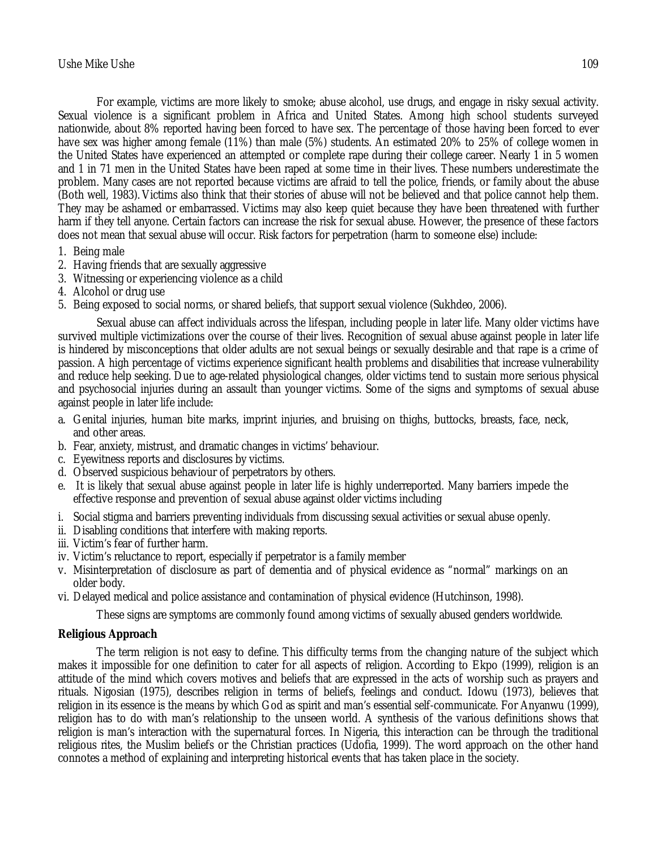For example, victims are more likely to smoke; abuse alcohol, use drugs, and engage in risky sexual activity. Sexual violence is a significant problem in Africa and United States. Among high school students surveyed nationwide, about 8% reported having been forced to have sex. The percentage of those having been forced to ever have sex was higher among female (11%) than male (5%) students. An estimated 20% to 25% of college women in the United States have experienced an attempted or complete rape during their college career. Nearly 1 in 5 women and 1 in 71 men in the United States have been raped at some time in their lives. These numbers underestimate the problem. Many cases are not reported because victims are afraid to tell the police, friends, or family about the abuse (Both well, 1983). Victims also think that their stories of abuse will not be believed and that police cannot help them. They may be ashamed or embarrassed. Victims may also keep quiet because they have been threatened with further harm if they tell anyone. Certain factors can increase the risk for sexual abuse. However, the presence of these factors does not mean that sexual abuse will occur. Risk factors for perpetration (harm to someone else) include:

- 1. Being male
- 2. Having friends that are sexually aggressive
- 3. Witnessing or experiencing violence as a child
- 4. Alcohol or drug use
- 5. Being exposed to social norms, or shared beliefs, that support sexual violence (Sukhdeo, 2006).

Sexual abuse can affect individuals across the lifespan, including people in later life. Many older victims have survived multiple victimizations over the course of their lives. Recognition of sexual abuse against people in later life is hindered by misconceptions that older adults are not sexual beings or sexually desirable and that rape is a crime of passion. A high percentage of victims experience significant health problems and disabilities that increase vulnerability and reduce help seeking. Due to age-related physiological changes, older victims tend to sustain more serious physical and psychosocial injuries during an assault than younger victims. Some of the signs and symptoms of sexual abuse against people in later life include:

- a. Genital injuries, human bite marks, imprint injuries, and bruising on thighs, buttocks, breasts, face, neck, and other areas.
- b. Fear, anxiety, mistrust, and dramatic changes in victims' behaviour.
- c. Eyewitness reports and disclosures by victims.
- d. Observed suspicious behaviour of perpetrators by others.
- e. It is likely that sexual abuse against people in later life is highly underreported. Many barriers impede the effective response and prevention of sexual abuse against older victims including
- i. Social stigma and barriers preventing individuals from discussing sexual activities or sexual abuse openly.
- ii. Disabling conditions that interfere with making reports.
- iii. Victim's fear of further harm.
- iv. Victim's reluctance to report, especially if perpetrator is a family member
- v. Misinterpretation of disclosure as part of dementia and of physical evidence as "normal" markings on an older body.
- vi. Delayed medical and police assistance and contamination of physical evidence (Hutchinson, 1998).

These signs are symptoms are commonly found among victims of sexually abused genders worldwide.

# **Religious Approach**

The term religion is not easy to define. This difficulty terms from the changing nature of the subject which makes it impossible for one definition to cater for all aspects of religion. According to Ekpo (1999), religion is an attitude of the mind which covers motives and beliefs that are expressed in the acts of worship such as prayers and rituals. Nigosian (1975), describes religion in terms of beliefs, feelings and conduct. Idowu (1973), believes that religion in its essence is the means by which God as spirit and man's essential self-communicate. For Anyanwu (1999), religion has to do with man's relationship to the unseen world. A synthesis of the various definitions shows that religion is man's interaction with the supernatural forces. In Nigeria, this interaction can be through the traditional religious rites, the Muslim beliefs or the Christian practices (Udofia, 1999). The word approach on the other hand connotes a method of explaining and interpreting historical events that has taken place in the society.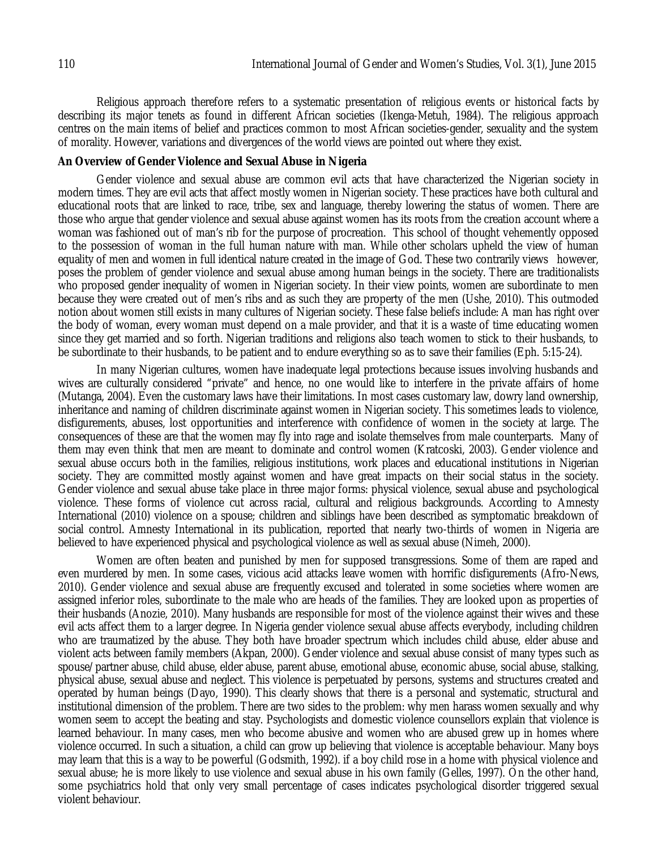Religious approach therefore refers to a systematic presentation of religious events or historical facts by describing its major tenets as found in different African societies (Ikenga-Metuh, 1984). The religious approach centres on the main items of belief and practices common to most African societies-gender, sexuality and the system of morality. However, variations and divergences of the world views are pointed out where they exist.

#### **An Overview of Gender Violence and Sexual Abuse in Nigeria**

Gender violence and sexual abuse are common evil acts that have characterized the Nigerian society in modern times. They are evil acts that affect mostly women in Nigerian society. These practices have both cultural and educational roots that are linked to race, tribe, sex and language, thereby lowering the status of women. There are those who argue that gender violence and sexual abuse against women has its roots from the creation account where a woman was fashioned out of man's rib for the purpose of procreation. This school of thought vehemently opposed to the possession of woman in the full human nature with man. While other scholars upheld the view of human equality of men and women in full identical nature created in the image of God. These two contrarily views however, poses the problem of gender violence and sexual abuse among human beings in the society. There are traditionalists who proposed gender inequality of women in Nigerian society. In their view points, women are subordinate to men because they were created out of men's ribs and as such they are property of the men (Ushe, 2010). This outmoded notion about women still exists in many cultures of Nigerian society. These false beliefs include: A man has right over the body of woman, every woman must depend on a male provider, and that it is a waste of time educating women since they get married and so forth. Nigerian traditions and religions also teach women to stick to their husbands, to be subordinate to their husbands, to be patient and to endure everything so as to save their families (Eph. 5:15-24).

In many Nigerian cultures, women have inadequate legal protections because issues involving husbands and wives are culturally considered "private" and hence, no one would like to interfere in the private affairs of home (Mutanga, 2004). Even the customary laws have their limitations. In most cases customary law, dowry land ownership, inheritance and naming of children discriminate against women in Nigerian society. This sometimes leads to violence, disfigurements, abuses, lost opportunities and interference with confidence of women in the society at large. The consequences of these are that the women may fly into rage and isolate themselves from male counterparts. Many of them may even think that men are meant to dominate and control women (Kratcoski, 2003). Gender violence and sexual abuse occurs both in the families, religious institutions, work places and educational institutions in Nigerian society. They are committed mostly against women and have great impacts on their social status in the society. Gender violence and sexual abuse take place in three major forms: physical violence, sexual abuse and psychological violence. These forms of violence cut across racial, cultural and religious backgrounds. According to Amnesty International (2010) violence on a spouse; children and siblings have been described as symptomatic breakdown of social control. Amnesty International in its publication, reported that nearly two-thirds of women in Nigeria are believed to have experienced physical and psychological violence as well as sexual abuse (Nimeh, 2000).

Women are often beaten and punished by men for supposed transgressions. Some of them are raped and even murdered by men. In some cases, vicious acid attacks leave women with horrific disfigurements (Afro-News, 2010). Gender violence and sexual abuse are frequently excused and tolerated in some societies where women are assigned inferior roles, subordinate to the male who are heads of the families. They are looked upon as properties of their husbands (Anozie, 2010). Many husbands are responsible for most of the violence against their wives and these evil acts affect them to a larger degree. In Nigeria gender violence sexual abuse affects everybody, including children who are traumatized by the abuse. They both have broader spectrum which includes child abuse, elder abuse and violent acts between family members (Akpan, 2000). Gender violence and sexual abuse consist of many types such as spouse/partner abuse, child abuse, elder abuse, parent abuse, emotional abuse, economic abuse, social abuse, stalking, physical abuse, sexual abuse and neglect. This violence is perpetuated by persons, systems and structures created and operated by human beings (Dayo, 1990). This clearly shows that there is a personal and systematic, structural and institutional dimension of the problem. There are two sides to the problem: why men harass women sexually and why women seem to accept the beating and stay. Psychologists and domestic violence counsellors explain that violence is learned behaviour. In many cases, men who become abusive and women who are abused grew up in homes where violence occurred. In such a situation, a child can grow up believing that violence is acceptable behaviour. Many boys may learn that this is a way to be powerful (Godsmith, 1992). if a boy child rose in a home with physical violence and sexual abuse; he is more likely to use violence and sexual abuse in his own family (Gelles, 1997). On the other hand, some psychiatrics hold that only very small percentage of cases indicates psychological disorder triggered sexual violent behaviour.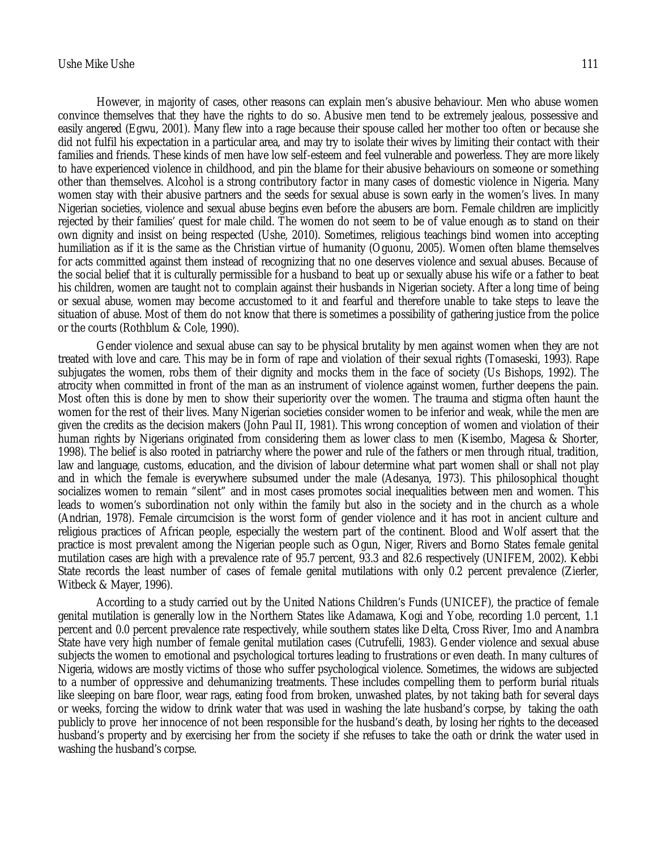# Ushe Mike Ushe 111

However, in majority of cases, other reasons can explain men's abusive behaviour. Men who abuse women convince themselves that they have the rights to do so. Abusive men tend to be extremely jealous, possessive and easily angered (Egwu, 2001). Many flew into a rage because their spouse called her mother too often or because she did not fulfil his expectation in a particular area, and may try to isolate their wives by limiting their contact with their families and friends. These kinds of men have low self-esteem and feel vulnerable and powerless. They are more likely to have experienced violence in childhood, and pin the blame for their abusive behaviours on someone or something other than themselves. Alcohol is a strong contributory factor in many cases of domestic violence in Nigeria. Many women stay with their abusive partners and the seeds for sexual abuse is sown early in the women's lives. In many Nigerian societies, violence and sexual abuse begins even before the abusers are born. Female children are implicitly rejected by their families' quest for male child. The women do not seem to be of value enough as to stand on their own dignity and insist on being respected (Ushe, 2010). Sometimes, religious teachings bind women into accepting humiliation as if it is the same as the Christian virtue of humanity (Oguonu, 2005). Women often blame themselves for acts committed against them instead of recognizing that no one deserves violence and sexual abuses. Because of the social belief that it is culturally permissible for a husband to beat up or sexually abuse his wife or a father to beat his children, women are taught not to complain against their husbands in Nigerian society. After a long time of being or sexual abuse, women may become accustomed to it and fearful and therefore unable to take steps to leave the situation of abuse. Most of them do not know that there is sometimes a possibility of gathering justice from the police or the courts (Rothblum & Cole, 1990).

Gender violence and sexual abuse can say to be physical brutality by men against women when they are not treated with love and care. This may be in form of rape and violation of their sexual rights (Tomaseski, 1993). Rape subjugates the women, robs them of their dignity and mocks them in the face of society (Us Bishops, 1992). The atrocity when committed in front of the man as an instrument of violence against women, further deepens the pain. Most often this is done by men to show their superiority over the women. The trauma and stigma often haunt the women for the rest of their lives. Many Nigerian societies consider women to be inferior and weak, while the men are given the credits as the decision makers (John Paul II, 1981). This wrong conception of women and violation of their human rights by Nigerians originated from considering them as lower class to men (Kisembo, Magesa & Shorter, 1998). The belief is also rooted in patriarchy where the power and rule of the fathers or men through ritual, tradition, law and language, customs, education, and the division of labour determine what part women shall or shall not play and in which the female is everywhere subsumed under the male (Adesanya, 1973). This philosophical thought socializes women to remain "silent" and in most cases promotes social inequalities between men and women. This leads to women's subordination not only within the family but also in the society and in the church as a whole (Andrian, 1978). Female circumcision is the worst form of gender violence and it has root in ancient culture and religious practices of African people, especially the western part of the continent. Blood and Wolf assert that the practice is most prevalent among the Nigerian people such as Ogun, Niger, Rivers and Borno States female genital mutilation cases are high with a prevalence rate of 95.7 percent, 93.3 and 82.6 respectively (UNIFEM, 2002). Kebbi State records the least number of cases of female genital mutilations with only 0.2 percent prevalence (Zierler, Witbeck & Mayer, 1996).

According to a study carried out by the United Nations Children's Funds (UNICEF), the practice of female genital mutilation is generally low in the Northern States like Adamawa, Kogi and Yobe, recording 1.0 percent, 1.1 percent and 0.0 percent prevalence rate respectively, while southern states like Delta, Cross River, Imo and Anambra State have very high number of female genital mutilation cases (Cutrufelli, 1983). Gender violence and sexual abuse subjects the women to emotional and psychological tortures leading to frustrations or even death. In many cultures of Nigeria, widows are mostly victims of those who suffer psychological violence. Sometimes, the widows are subjected to a number of oppressive and dehumanizing treatments. These includes compelling them to perform burial rituals like sleeping on bare floor, wear rags, eating food from broken, unwashed plates, by not taking bath for several days or weeks, forcing the widow to drink water that was used in washing the late husband's corpse, by taking the oath publicly to prove her innocence of not been responsible for the husband's death, by losing her rights to the deceased husband's property and by exercising her from the society if she refuses to take the oath or drink the water used in washing the husband's corpse.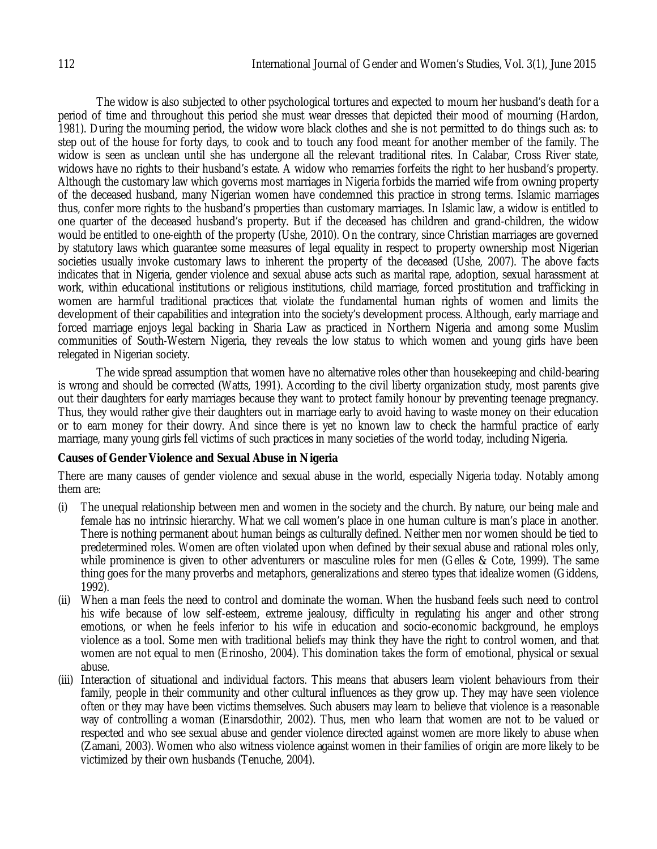The widow is also subjected to other psychological tortures and expected to mourn her husband's death for a period of time and throughout this period she must wear dresses that depicted their mood of mourning (Hardon, 1981). During the mourning period, the widow wore black clothes and she is not permitted to do things such as: to step out of the house for forty days, to cook and to touch any food meant for another member of the family. The widow is seen as unclean until she has undergone all the relevant traditional rites. In Calabar, Cross River state, widows have no rights to their husband's estate. A widow who remarries forfeits the right to her husband's property. Although the customary law which governs most marriages in Nigeria forbids the married wife from owning property of the deceased husband, many Nigerian women have condemned this practice in strong terms. Islamic marriages thus, confer more rights to the husband's properties than customary marriages. In Islamic law, a widow is entitled to one quarter of the deceased husband's property. But if the deceased has children and grand-children, the widow would be entitled to one-eighth of the property (Ushe, 2010). On the contrary, since Christian marriages are governed by statutory laws which guarantee some measures of legal equality in respect to property ownership most Nigerian societies usually invoke customary laws to inherent the property of the deceased (Ushe, 2007). The above facts indicates that in Nigeria, gender violence and sexual abuse acts such as marital rape, adoption, sexual harassment at work, within educational institutions or religious institutions, child marriage, forced prostitution and trafficking in women are harmful traditional practices that violate the fundamental human rights of women and limits the development of their capabilities and integration into the society's development process. Although, early marriage and forced marriage enjoys legal backing in Sharia Law as practiced in Northern Nigeria and among some Muslim communities of South-Western Nigeria, they reveals the low status to which women and young girls have been relegated in Nigerian society.

The wide spread assumption that women have no alternative roles other than housekeeping and child-bearing is wrong and should be corrected (Watts, 1991). According to the civil liberty organization study, most parents give out their daughters for early marriages because they want to protect family honour by preventing teenage pregnancy. Thus, they would rather give their daughters out in marriage early to avoid having to waste money on their education or to earn money for their dowry. And since there is yet no known law to check the harmful practice of early marriage, many young girls fell victims of such practices in many societies of the world today, including Nigeria.

# **Causes of Gender Violence and Sexual Abuse in Nigeria**

There are many causes of gender violence and sexual abuse in the world, especially Nigeria today. Notably among them are:

- (i) The unequal relationship between men and women in the society and the church. By nature, our being male and female has no intrinsic hierarchy. What we call women's place in one human culture is man's place in another. There is nothing permanent about human beings as culturally defined. Neither men nor women should be tied to predetermined roles. Women are often violated upon when defined by their sexual abuse and rational roles only, while prominence is given to other adventurers or masculine roles for men (Gelles & Cote, 1999). The same thing goes for the many proverbs and metaphors, generalizations and stereo types that idealize women (Giddens, 1992).
- (ii) When a man feels the need to control and dominate the woman. When the husband feels such need to control his wife because of low self-esteem, extreme jealousy, difficulty in regulating his anger and other strong emotions, or when he feels inferior to his wife in education and socio-economic background, he employs violence as a tool. Some men with traditional beliefs may think they have the right to control women, and that women are not equal to men (Erinosho, 2004). This domination takes the form of emotional, physical or sexual abuse.
- (iii) Interaction of situational and individual factors. This means that abusers learn violent behaviours from their family, people in their community and other cultural influences as they grow up. They may have seen violence often or they may have been victims themselves. Such abusers may learn to believe that violence is a reasonable way of controlling a woman (Einarsdothir, 2002). Thus, men who learn that women are not to be valued or respected and who see sexual abuse and gender violence directed against women are more likely to abuse when (Zamani, 2003). Women who also witness violence against women in their families of origin are more likely to be victimized by their own husbands (Tenuche, 2004).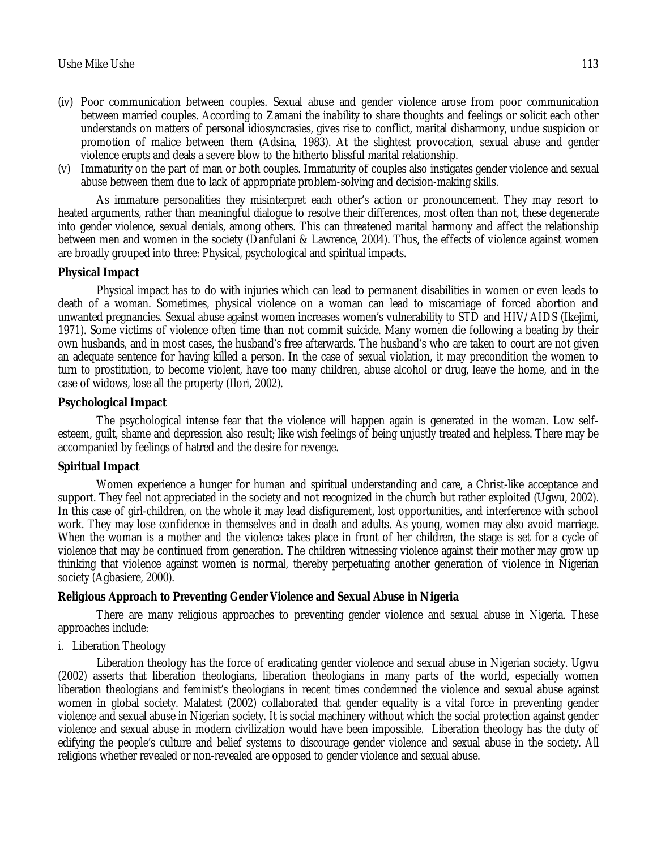- (iv) Poor communication between couples. Sexual abuse and gender violence arose from poor communication between married couples. According to Zamani the inability to share thoughts and feelings or solicit each other understands on matters of personal idiosyncrasies, gives rise to conflict, marital disharmony, undue suspicion or promotion of malice between them (Adsina, 1983). At the slightest provocation, sexual abuse and gender violence erupts and deals a severe blow to the hitherto blissful marital relationship.
- (v) Immaturity on the part of man or both couples. Immaturity of couples also instigates gender violence and sexual abuse between them due to lack of appropriate problem-solving and decision-making skills.

As immature personalities they misinterpret each other's action or pronouncement. They may resort to heated arguments, rather than meaningful dialogue to resolve their differences, most often than not, these degenerate into gender violence, sexual denials, among others. This can threatened marital harmony and affect the relationship between men and women in the society (Danfulani & Lawrence, 2004). Thus, the effects of violence against women are broadly grouped into three: Physical, psychological and spiritual impacts.

# **Physical Impact**

Physical impact has to do with injuries which can lead to permanent disabilities in women or even leads to death of a woman. Sometimes, physical violence on a woman can lead to miscarriage of forced abortion and unwanted pregnancies. Sexual abuse against women increases women's vulnerability to STD and HIV/AIDS (Ikejimi, 1971). Some victims of violence often time than not commit suicide. Many women die following a beating by their own husbands, and in most cases, the husband's free afterwards. The husband's who are taken to court are not given an adequate sentence for having killed a person. In the case of sexual violation, it may precondition the women to turn to prostitution, to become violent, have too many children, abuse alcohol or drug, leave the home, and in the case of widows, lose all the property (Ilori, 2002).

# **Psychological Impact**

The psychological intense fear that the violence will happen again is generated in the woman. Low selfesteem, guilt, shame and depression also result; like wish feelings of being unjustly treated and helpless. There may be accompanied by feelings of hatred and the desire for revenge.

# **Spiritual Impact**

Women experience a hunger for human and spiritual understanding and care, a Christ-like acceptance and support. They feel not appreciated in the society and not recognized in the church but rather exploited (Ugwu, 2002). In this case of girl-children, on the whole it may lead disfigurement, lost opportunities, and interference with school work. They may lose confidence in themselves and in death and adults. As young, women may also avoid marriage. When the woman is a mother and the violence takes place in front of her children, the stage is set for a cycle of violence that may be continued from generation. The children witnessing violence against their mother may grow up thinking that violence against women is normal, thereby perpetuating another generation of violence in Nigerian society (Agbasiere, 2000).

# **Religious Approach to Preventing Gender Violence and Sexual Abuse in Nigeria**

There are many religious approaches to preventing gender violence and sexual abuse in Nigeria. These approaches include:

# i. Liberation Theology

Liberation theology has the force of eradicating gender violence and sexual abuse in Nigerian society. Ugwu (2002) asserts that liberation theologians, liberation theologians in many parts of the world, especially women liberation theologians and feminist's theologians in recent times condemned the violence and sexual abuse against women in global society. Malatest (2002) collaborated that gender equality is a vital force in preventing gender violence and sexual abuse in Nigerian society. It is social machinery without which the social protection against gender violence and sexual abuse in modern civilization would have been impossible. Liberation theology has the duty of edifying the people's culture and belief systems to discourage gender violence and sexual abuse in the society. All religions whether revealed or non-revealed are opposed to gender violence and sexual abuse.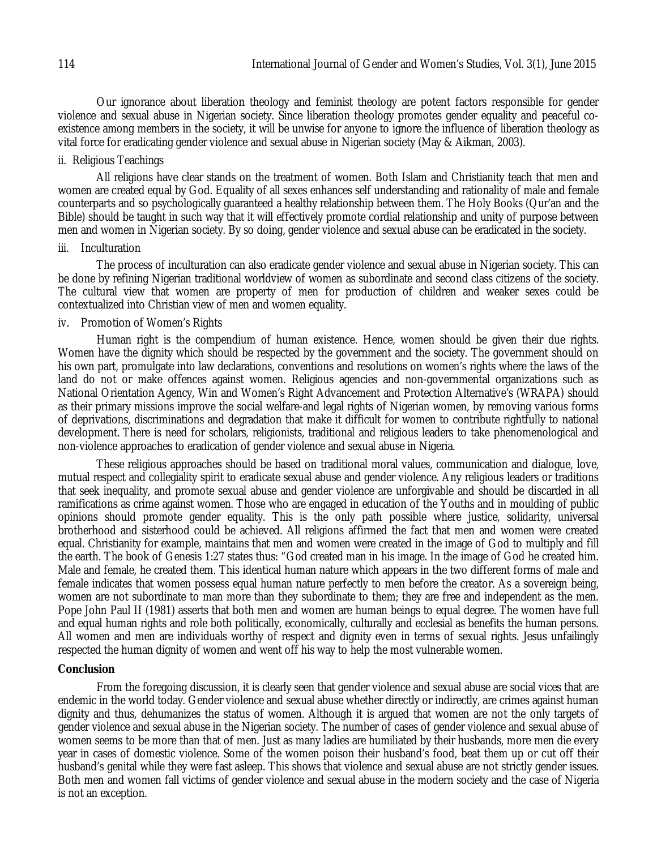Our ignorance about liberation theology and feminist theology are potent factors responsible for gender violence and sexual abuse in Nigerian society. Since liberation theology promotes gender equality and peaceful coexistence among members in the society, it will be unwise for anyone to ignore the influence of liberation theology as vital force for eradicating gender violence and sexual abuse in Nigerian society (May & Aikman, 2003).

# ii. Religious Teachings

All religions have clear stands on the treatment of women. Both Islam and Christianity teach that men and women are created equal by God. Equality of all sexes enhances self understanding and rationality of male and female counterparts and so psychologically guaranteed a healthy relationship between them. The Holy Books (Qur'an and the Bible) should be taught in such way that it will effectively promote cordial relationship and unity of purpose between men and women in Nigerian society. By so doing, gender violence and sexual abuse can be eradicated in the society.

#### iii. Inculturation

The process of inculturation can also eradicate gender violence and sexual abuse in Nigerian society. This can be done by refining Nigerian traditional worldview of women as subordinate and second class citizens of the society. The cultural view that women are property of men for production of children and weaker sexes could be contextualized into Christian view of men and women equality.

#### iv. Promotion of Women's Rights

Human right is the compendium of human existence. Hence, women should be given their due rights. Women have the dignity which should be respected by the government and the society. The government should on his own part, promulgate into law declarations, conventions and resolutions on women's rights where the laws of the land do not or make offences against women. Religious agencies and non-governmental organizations such as National Orientation Agency, Win and Women's Right Advancement and Protection Alternative's (WRAPA) should as their primary missions improve the social welfare-and legal rights of Nigerian women, by removing various forms of deprivations, discriminations and degradation that make it difficult for women to contribute rightfully to national development. There is need for scholars, religionists, traditional and religious leaders to take phenomenological and non-violence approaches to eradication of gender violence and sexual abuse in Nigeria.

These religious approaches should be based on traditional moral values, communication and dialogue, love, mutual respect and collegiality spirit to eradicate sexual abuse and gender violence. Any religious leaders or traditions that seek inequality, and promote sexual abuse and gender violence are unforgivable and should be discarded in all ramifications as crime against women. Those who are engaged in education of the Youths and in moulding of public opinions should promote gender equality. This is the only path possible where justice, solidarity, universal brotherhood and sisterhood could be achieved. All religions affirmed the fact that men and women were created equal. Christianity for example, maintains that men and women were created in the image of God to multiply and fill the earth. The book of Genesis 1:27 states thus: "God created man in his image. In the image of God he created him. Male and female, he created them. This identical human nature which appears in the two different forms of male and female indicates that women possess equal human nature perfectly to men before the creator. As a sovereign being, women are not subordinate to man more than they subordinate to them; they are free and independent as the men. Pope John Paul II (1981) asserts that both men and women are human beings to equal degree. The women have full and equal human rights and role both politically, economically, culturally and ecclesial as benefits the human persons. All women and men are individuals worthy of respect and dignity even in terms of sexual rights. Jesus unfailingly respected the human dignity of women and went off his way to help the most vulnerable women.

#### **Conclusion**

From the foregoing discussion, it is clearly seen that gender violence and sexual abuse are social vices that are endemic in the world today. Gender violence and sexual abuse whether directly or indirectly, are crimes against human dignity and thus, dehumanizes the status of women. Although it is argued that women are not the only targets of gender violence and sexual abuse in the Nigerian society. The number of cases of gender violence and sexual abuse of women seems to be more than that of men. Just as many ladies are humiliated by their husbands, more men die every year in cases of domestic violence. Some of the women poison their husband's food, beat them up or cut off their husband's genital while they were fast asleep. This shows that violence and sexual abuse are not strictly gender issues. Both men and women fall victims of gender violence and sexual abuse in the modern society and the case of Nigeria is not an exception.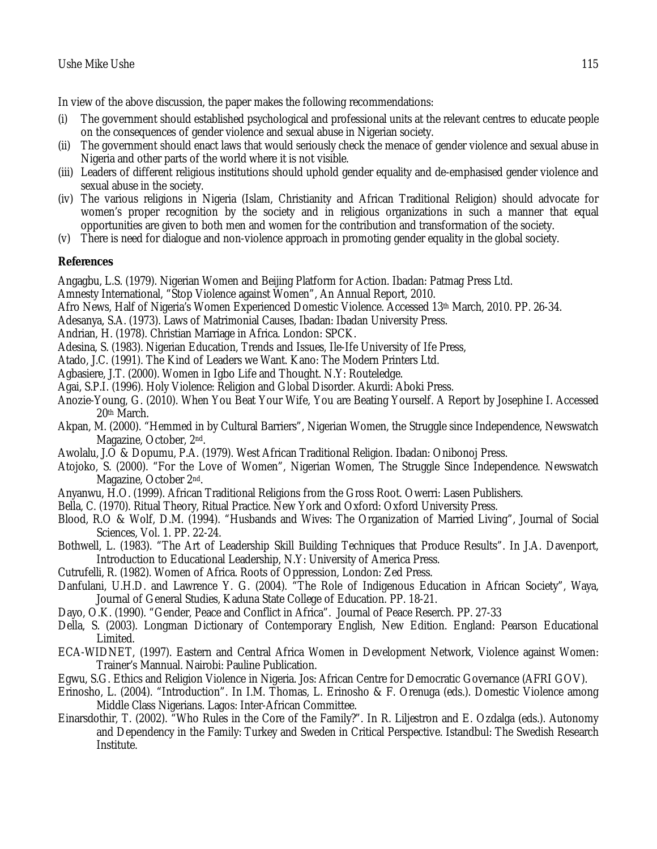In view of the above discussion, the paper makes the following recommendations:

- (i) The government should established psychological and professional units at the relevant centres to educate people on the consequences of gender violence and sexual abuse in Nigerian society.
- (ii) The government should enact laws that would seriously check the menace of gender violence and sexual abuse in Nigeria and other parts of the world where it is not visible.
- (iii) Leaders of different religious institutions should uphold gender equality and de-emphasised gender violence and sexual abuse in the society.
- (iv) The various religions in Nigeria (Islam, Christianity and African Traditional Religion) should advocate for women's proper recognition by the society and in religious organizations in such a manner that equal opportunities are given to both men and women for the contribution and transformation of the society.
- (v) There is need for dialogue and non-violence approach in promoting gender equality in the global society.

# **References**

Angagbu, L.S. (1979). Nigerian Women and Beijing Platform for Action. Ibadan: Patmag Press Ltd.

- Amnesty International, "Stop Violence against Women", An Annual Report, 2010.
- Afro News, Half of Nigeria's Women Experienced Domestic Violence. Accessed 13th March, 2010. PP. 26-34.
- Adesanya, S.A. (1973). Laws of Matrimonial Causes, Ibadan: Ibadan University Press.
- Andrian, H. (1978). Christian Marriage in Africa. London: SPCK.
- Adesina, S. (1983). Nigerian Education, Trends and Issues, Ile-Ife University of Ife Press,
- Atado, J.C. (1991). The Kind of Leaders we Want. Kano: The Modern Printers Ltd.
- Agbasiere, J.T. (2000). Women in Igbo Life and Thought. N.Y: Routeledge.
- Agai, S.P.I. (1996). Holy Violence: Religion and Global Disorder. Akurdi: Aboki Press.
- Anozie-Young, G. (2010). When You Beat Your Wife, You are Beating Yourself. A Report by Josephine I. Accessed 20th March.
- Akpan, M. (2000). "Hemmed in by Cultural Barriers", Nigerian Women, the Struggle since Independence, Newswatch Magazine, October, 2nd.
- Awolalu, J.O & Dopumu, P.A. (1979). West African Traditional Religion. Ibadan: Onibonoj Press.
- Atojoko, S. (2000). "For the Love of Women", Nigerian Women, The Struggle Since Independence. Newswatch Magazine, October 2nd.
- Anyanwu, H.O. (1999). African Traditional Religions from the Gross Root. Owerri: Lasen Publishers.
- Bella, C. (1970). Ritual Theory, Ritual Practice. New York and Oxford: Oxford University Press.
- Blood, R.O & Wolf, D.M. (1994). "Husbands and Wives: The Organization of Married Living", Journal of Social Sciences, Vol. 1. PP. 22-24.
- Bothwell, L. (1983). "The Art of Leadership Skill Building Techniques that Produce Results". In J.A. Davenport, Introduction to Educational Leadership, N.Y: University of America Press.
- Cutrufelli, R. (1982). Women of Africa. Roots of Oppression, London: Zed Press.
- Danfulani, U.H.D. and Lawrence Y. G. (2004). "The Role of Indigenous Education in African Society", Waya, Journal of General Studies, Kaduna State College of Education. PP. 18-21.
- Dayo, O.K. (1990). "Gender, Peace and Conflict in Africa". Journal of Peace Reserch. PP. 27-33
- Della, S. (2003). Longman Dictionary of Contemporary English, New Edition. England: Pearson Educational Limited.
- ECA-WIDNET, (1997). Eastern and Central Africa Women in Development Network, Violence against Women: Trainer's Mannual. Nairobi: Pauline Publication.
- Egwu, S.G. Ethics and Religion Violence in Nigeria. Jos: African Centre for Democratic Governance (AFRI GOV).
- Erinosho, L. (2004). "Introduction". In I.M. Thomas, L. Erinosho & F. Orenuga (eds.). Domestic Violence among Middle Class Nigerians. Lagos: Inter-African Committee.
- Einarsdothir, T. (2002). "Who Rules in the Core of the Family?". In R. Liljestron and E. Ozdalga (eds.). Autonomy and Dependency in the Family: Turkey and Sweden in Critical Perspective. Istandbul: The Swedish Research Institute.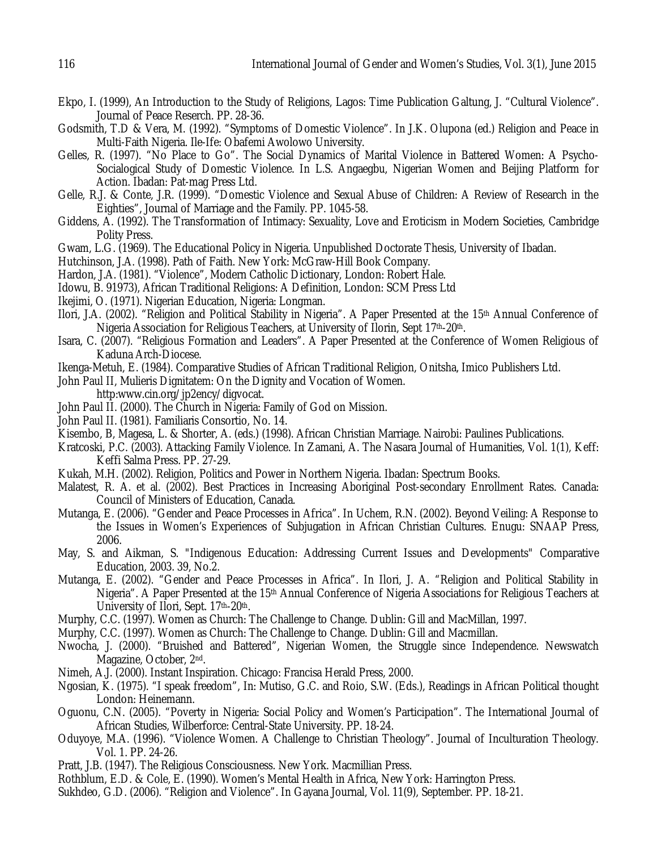- Ekpo, I. (1999), An Introduction to the Study of Religions, Lagos: Time Publication Galtung, J. "Cultural Violence". Journal of Peace Reserch. PP. 28-36.
- Godsmith, T.D & Vera, M. (1992). "Symptoms of Domestic Violence". In J.K. Olupona (ed.) Religion and Peace in Multi-Faith Nigeria. Ile-Ife: Obafemi Awolowo University.
- Gelles, R. (1997). "No Place to Go". The Social Dynamics of Marital Violence in Battered Women: A Psycho-Socialogical Study of Domestic Violence. In L.S. Angaegbu, Nigerian Women and Beijing Platform for Action. Ibadan: Pat-mag Press Ltd.
- Gelle, R.J. & Conte, J.R. (1999). "Domestic Violence and Sexual Abuse of Children: A Review of Research in the Eighties", Journal of Marriage and the Family. PP. 1045-58.
- Giddens, A. (1992). The Transformation of Intimacy: Sexuality, Love and Eroticism in Modern Societies, Cambridge Polity Press.
- Gwam, L.G. (1969). The Educational Policy in Nigeria. Unpublished Doctorate Thesis, University of Ibadan.
- Hutchinson, J.A. (1998). Path of Faith. New York: McGraw-Hill Book Company.
- Hardon, J.A. (1981). "Violence", Modern Catholic Dictionary, London: Robert Hale.
- Idowu, B. 91973), African Traditional Religions: A Definition, London: SCM Press Ltd
- Ikejimi, O. (1971). Nigerian Education, Nigeria: Longman.
- Ilori, J.A. (2002). "Religion and Political Stability in Nigeria". A Paper Presented at the 15th Annual Conference of Nigeria Association for Religious Teachers, at University of Ilorin, Sept 17th-20th.
- Isara, C. (2007). "Religious Formation and Leaders". A Paper Presented at the Conference of Women Religious of Kaduna Arch-Diocese.
- Ikenga-Metuh, E. (1984). Comparative Studies of African Traditional Religion, Onitsha, Imico Publishers Ltd.
- John Paul II, Mulieris Dignitatem: On the Dignity and Vocation of Women.
- http:www.cin.org/jp2ency/digvocat.
- John Paul II. (2000). The Church in Nigeria: Family of God on Mission.
- John Paul II. (1981). Familiaris Consortio, No. 14.
- Kisembo, B, Magesa, L. & Shorter, A. (eds.) (1998). African Christian Marriage. Nairobi: Paulines Publications.
- Kratcoski, P.C. (2003). Attacking Family Violence. In Zamani, A. The Nasara Journal of Humanities, Vol. 1(1), Keff: Keffi Salma Press. PP. 27-29.
- Kukah, M.H. (2002). Religion, Politics and Power in Northern Nigeria. Ibadan: Spectrum Books.
- Malatest, R. A. et al. (2002). Best Practices in Increasing Aboriginal Post-secondary Enrollment Rates. Canada: Council of Ministers of Education, Canada.
- Mutanga, E. (2006). "Gender and Peace Processes in Africa". In Uchem, R.N. (2002). Beyond Veiling: A Response to the Issues in Women's Experiences of Subjugation in African Christian Cultures. Enugu: SNAAP Press, 2006.
- May, S. and Aikman, S. "Indigenous Education: Addressing Current Issues and Developments" Comparative Education, 2003. 39, No.2.
- Mutanga, E. (2002). "Gender and Peace Processes in Africa". In Ilori, J. A. "Religion and Political Stability in Nigeria". A Paper Presented at the 15th Annual Conference of Nigeria Associations for Religious Teachers at University of Ilori, Sept. 17th-20th.
- Murphy, C.C. (1997). Women as Church: The Challenge to Change. Dublin: Gill and MacMillan, 1997.
- Murphy, C.C. (1997). Women as Church: The Challenge to Change. Dublin: Gill and Macmillan.
- Nwocha, J. (2000). "Bruished and Battered", Nigerian Women, the Struggle since Independence. Newswatch Magazine, October, 2nd.
- Nimeh, A.J. (2000). Instant Inspiration. Chicago: Francisa Herald Press, 2000.
- Ngosian, K. (1975). "I speak freedom", In: Mutiso, G.C. and Roio, S.W. (Eds.), Readings in African Political thought London: Heinemann.
- Oguonu, C.N. (2005). "Poverty in Nigeria: Social Policy and Women's Participation". The International Journal of African Studies, Wilberforce: Central-State University. PP. 18-24.
- Oduyoye, M.A. (1996). "Violence Women. A Challenge to Christian Theology". Journal of Inculturation Theology. Vol. 1. PP. 24-26.
- Pratt, J.B. (1947). The Religious Consciousness. New York. Macmillian Press.
- Rothblum, E.D. & Cole, E. (1990). Women's Mental Health in Africa, New York: Harrington Press.
- Sukhdeo, G.D. (2006). "Religion and Violence". In Gayana Journal, Vol. 11(9), September. PP. 18-21.